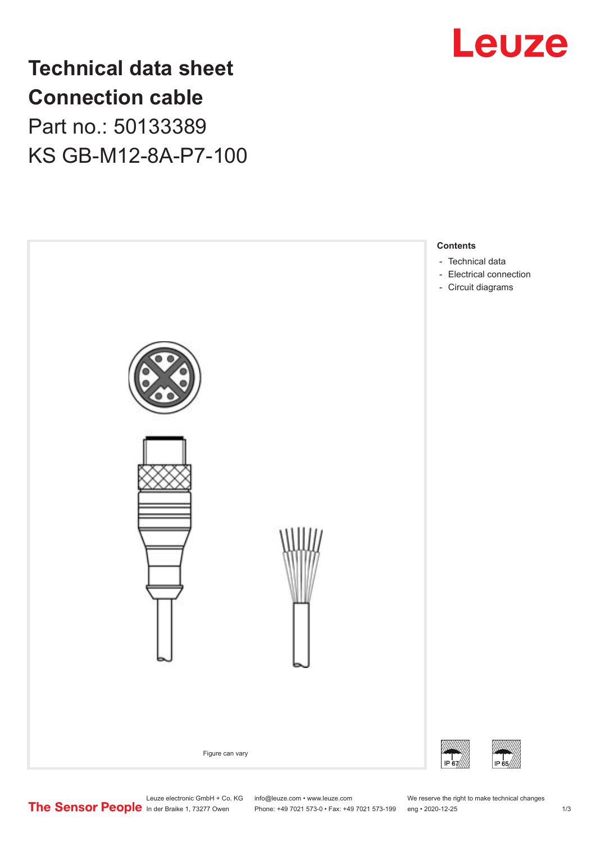

**Technical data sheet Connection cable** Part no.: 50133389 KS GB-M12-8A-P7-100



Leuze electronic GmbH + Co. KG info@leuze.com • www.leuze.com We reserve the right to make technical changes<br>
The Sensor People in der Braike 1, 73277 Owen Phone: +49 7021 573-0 • Fax: +49 7021 573-199 eng • 2020-12-25

Phone: +49 7021 573-0 • Fax: +49 7021 573-199 eng • 2020-12-25 1 2020-12-25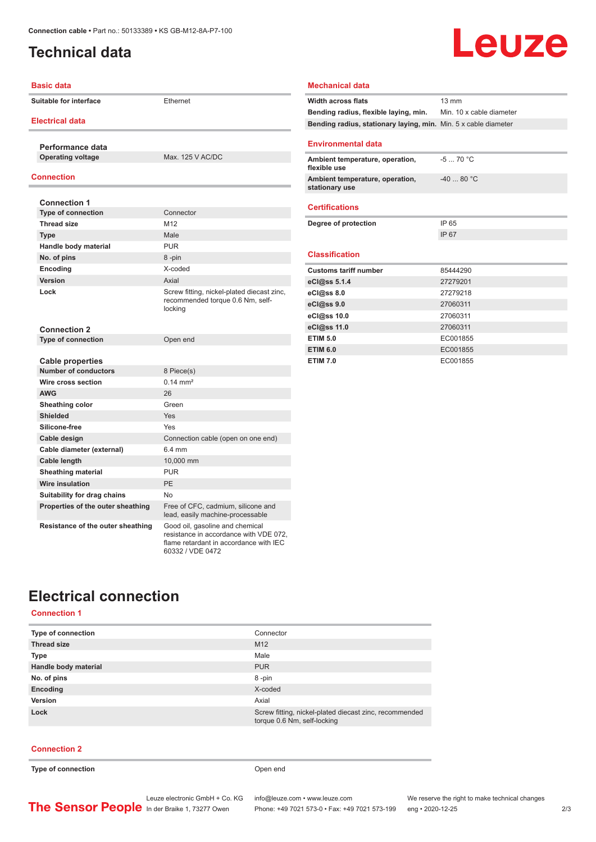## <span id="page-1-0"></span>**Technical data**

## Leuze

| <b>Basic data</b>                 |                                                                                                                                         | <b>Mechanical data</b>                                          |                          |
|-----------------------------------|-----------------------------------------------------------------------------------------------------------------------------------------|-----------------------------------------------------------------|--------------------------|
| Suitable for interface            | Ethernet                                                                                                                                | <b>Width across flats</b>                                       | $13 \text{ mm}$          |
|                                   |                                                                                                                                         | Bending radius, flexible laying, min.                           | Min. 10 x cable diameter |
| <b>Electrical data</b>            |                                                                                                                                         | Bending radius, stationary laying, min. Min. 5 x cable diameter |                          |
| Performance data                  |                                                                                                                                         | <b>Environmental data</b>                                       |                          |
| <b>Operating voltage</b>          | Max. 125 V AC/DC                                                                                                                        | Ambient temperature, operation,<br>flexible use                 | $-570 °C$                |
| <b>Connection</b>                 |                                                                                                                                         | Ambient temperature, operation,<br>stationary use               | $-4080 °C$               |
| <b>Connection 1</b>               |                                                                                                                                         |                                                                 |                          |
| Type of connection                | Connector                                                                                                                               | <b>Certifications</b>                                           |                          |
| <b>Thread size</b>                | M12                                                                                                                                     | Degree of protection                                            | IP 65                    |
| <b>Type</b>                       | Male                                                                                                                                    |                                                                 | IP 67                    |
| Handle body material              | <b>PUR</b>                                                                                                                              |                                                                 |                          |
| No. of pins                       | 8-pin                                                                                                                                   | <b>Classification</b>                                           |                          |
| Encoding                          | X-coded                                                                                                                                 | <b>Customs tariff number</b>                                    | 85444290                 |
| Version                           | Axial                                                                                                                                   | eCl@ss 5.1.4                                                    | 27279201                 |
| Lock                              | Screw fitting, nickel-plated diecast zinc,<br>recommended torque 0.6 Nm, self-<br>locking                                               | eCl@ss 8.0                                                      | 27279218                 |
|                                   |                                                                                                                                         | eCl@ss 9.0                                                      | 27060311                 |
|                                   |                                                                                                                                         | eCl@ss 10.0                                                     | 27060311                 |
| <b>Connection 2</b>               |                                                                                                                                         | eCl@ss 11.0                                                     | 27060311                 |
| Type of connection                | Open end                                                                                                                                | <b>ETIM 5.0</b>                                                 | EC001855                 |
|                                   |                                                                                                                                         | <b>ETIM 6.0</b>                                                 | EC001855                 |
| <b>Cable properties</b>           |                                                                                                                                         | <b>ETIM 7.0</b>                                                 | EC001855                 |
| <b>Number of conductors</b>       | 8 Piece(s)                                                                                                                              |                                                                 |                          |
| Wire cross section                | $0.14 \, \text{mm}^2$                                                                                                                   |                                                                 |                          |
| <b>AWG</b>                        | 26                                                                                                                                      |                                                                 |                          |
| Sheathing color                   | Green                                                                                                                                   |                                                                 |                          |
| <b>Shielded</b>                   | Yes                                                                                                                                     |                                                                 |                          |
| Silicone-free                     | Yes                                                                                                                                     |                                                                 |                          |
| Cable design                      | Connection cable (open on one end)                                                                                                      |                                                                 |                          |
| Cable diameter (external)         | 6.4 mm                                                                                                                                  |                                                                 |                          |
| Cable length                      | 10,000 mm                                                                                                                               |                                                                 |                          |
| <b>Sheathing material</b>         | <b>PUR</b>                                                                                                                              |                                                                 |                          |
| <b>Wire insulation</b>            | PE                                                                                                                                      |                                                                 |                          |
| Suitability for drag chains       | <b>No</b>                                                                                                                               |                                                                 |                          |
| Properties of the outer sheathing | Free of CFC, cadmium, silicone and<br>lead, easily machine-processable                                                                  |                                                                 |                          |
| Resistance of the outer sheathing | Good oil, gasoline and chemical<br>resistance in accordance with VDE 072,<br>flame retardant in accordance with IEC<br>60332 / VDE 0472 |                                                                 |                          |

## **Electrical connection**

#### **Connection 1**

| <b>Type of connection</b> | Connector                                                                             |
|---------------------------|---------------------------------------------------------------------------------------|
| <b>Thread size</b>        | M <sub>12</sub>                                                                       |
| <b>Type</b>               | Male                                                                                  |
| Handle body material      | <b>PUR</b>                                                                            |
| No. of pins               | 8-pin                                                                                 |
| Encoding                  | X-coded                                                                               |
| Version                   | Axial                                                                                 |
| Lock                      | Screw fitting, nickel-plated diecast zinc, recommended<br>torque 0.6 Nm, self-locking |

#### **Connection 2**

**Type of connection Open end**